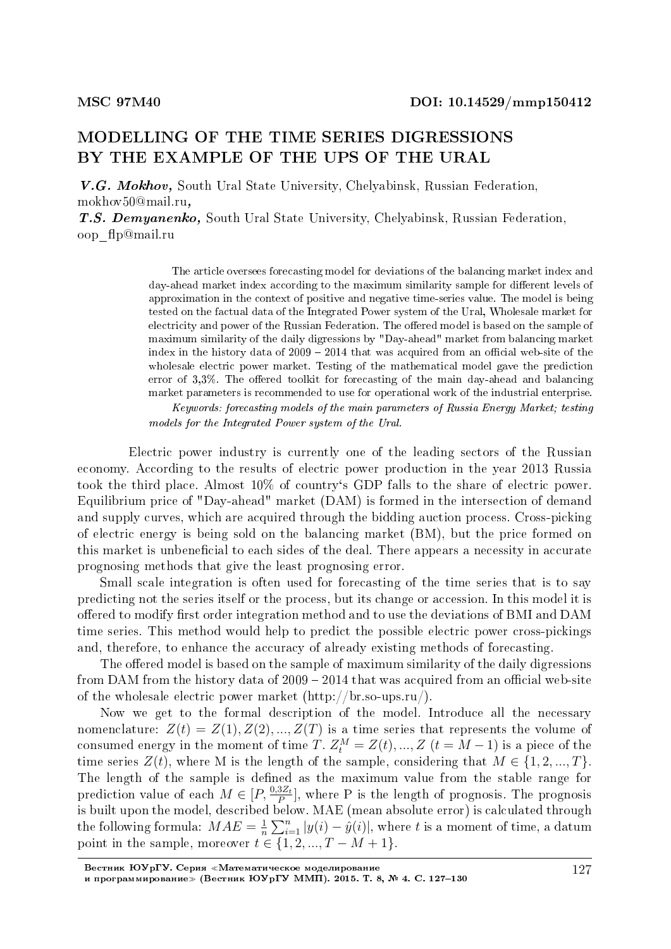## MODELLING OF THE TIME SERIES DIGRESSIONS BY THE EXAMPLE OF THE UPS OF THE URAL

V.G. Mokhov, South Ural State University, Chelyabinsk, Russian Federation, mokhov50@mail.ru,

T.S. Demyanenko, South Ural State University, Chelyabinsk, Russian Federation, oop\_p@mail.ru

> The article oversees forecasting model for deviations of the balancing market index and day-ahead market index according to the maximum similarity sample for different levels of approximation in the context of positive and negative time-series value. The model is being tested on the factual data of the Integrated Power system of the Ural, Wholesale market for electricity and power of the Russian Federation. The offered model is based on the sample of maximum similarity of the daily digressions by "Day-ahead" market from balancing market index in the history data of  $2009 - 2014$  that was acquired from an official web-site of the wholesale electric power market. Testing of the mathematical model gave the prediction error of  $3.3\%$ . The offered toolkit for forecasting of the main day-ahead and balancing market parameters is recommended to use for operational work of the industrial enterprise.

> Keywords: forecasting models of the main parameters of Russia Energy Market; testing models for the Integrated Power system of the Ural.

Electric power industry is currently one of the leading sectors of the Russian economy. According to the results of electric power production in the year 2013 Russia took the third place. Almost 10% of country`s GDP falls to the share of electric power. Equilibrium price of "Day-ahead" market (DAM) is formed in the intersection of demand and supply curves, which are acquired through the bidding auction process. Cross-picking of electric energy is being sold on the balancing market (BM), but the price formed on this market is unbeneficial to each sides of the deal. There appears a necessity in accurate prognosing methods that give the least prognosing error.

Small scale integration is often used for forecasting of the time series that is to say predicting not the series itself or the process, but its change or accession. In this model it is offered to modify first order integration method and to use the deviations of BMI and DAM time series. This method would help to predict the possible electric power cross-pickings and, therefore, to enhance the accuracy of already existing methods of forecasting.

The offered model is based on the sample of maximum similarity of the daily digressions from DAM from the history data of  $2009 - 2014$  that was acquired from an official web-site of the wholesale electric power market (http://br.so-ups.ru/).

Now we get to the formal description of the model. Introduce all the necessary nomenclature:  $Z(t) = Z(1), Z(2), ..., Z(T)$  is a time series that represents the volume of consumed energy in the moment of time *T*.  $Z_t^M = Z(t), ..., Z$   $(t = M - 1)$  is a piece of the time series  $Z(t)$ , where M is the length of the sample, considering that  $M \in \{1, 2, ..., T\}$ . The length of the sample is defined as the maximum value from the stable range for prediction value of each  $M \in [P, \frac{0.3Z_t}{P}]$ , where P is the length of prognosis. The prognosis prediction value of each  $M \subseteq [1, p]$ , where  $P$  is the religion of prognosis. The prognosis<br>is built upon the model, described below. MAE (mean absolute error) is calculated through the following formula:  $MAE = \frac{1}{n}$  $\frac{1}{n}\sum_{i=1}^{n}|y(i) - \hat{y}(i)|$ , where *t* is a moment of time, a datum point in the sample, moreover  $t \in \{1, 2, ..., T - M + 1\}$ .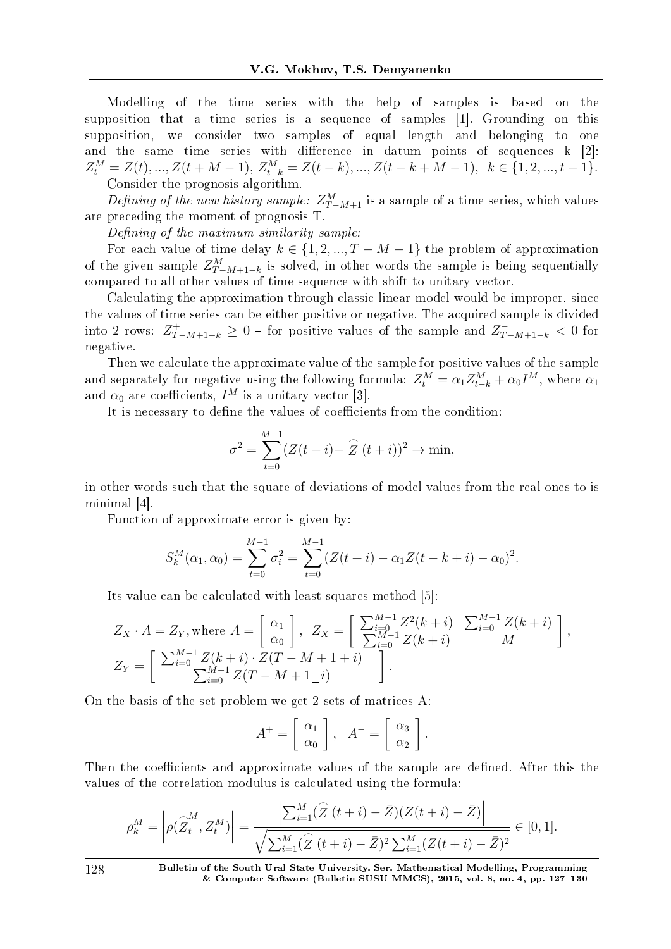Modelling of the time series with the help of samples is based on the supposition that a time series is a sequence of samples [1]. Grounding on this supposition, we consider two samples of equal length and belonging to one and the same time series with difference in datum points of sequences  $k$  [2]:  $Z_t^M = Z(t), ..., Z(t+M-1), Z_{t-k}^M = Z(t-k), ..., Z(t-k+M-1), \quad k \in \{1, 2, ..., t-1\}.$ Consider the prognosis algorithm.

Defining of the new history sample:  $Z_{T-M+1}^M$  is a sample of a time series, which values are preceding the moment of prognosis T.

Defining of the maximum similarity sample:

For each value of time delay  $k \in \{1, 2, ..., T - M - 1\}$  the problem of approximation of the given sample  $Z_{T-M+1-k}^M$  is solved, in other words the sample is being sequentially compared to all other values of time sequence with shift to unitary vector.

Calculating the approximation through classic linear model would be improper, since the values of time series can be either positive or negative. The acquired sample is divided into 2 rows:  $Z_{T-M+1-k}^+ ≥ 0$  − for positive values of the sample and  $Z_{T-M+1-k}^- < 0$  for negative.

Then we calculate the approximate value of the sample for positive values of the sample and separately for negative using the following formula:  $Z_t^M = \alpha_1 Z_{t-k}^M + \alpha_0 I^M$ , where  $\alpha_1$ and  $\alpha_0$  are coefficients,  $I^M$  is a unitary vector [3].

It is necessary to define the values of coefficients from the condition:

$$
\sigma^{2} = \sum_{t=0}^{M-1} (Z(t+i) - \widehat{Z}(t+i))^{2} \to \min,
$$

in other words such that the square of deviations of model values from the real ones to is minimal [4].

Function of approximate error is given by:

$$
S_k^M(\alpha_1, \alpha_0) = \sum_{t=0}^{M-1} \sigma_i^2 = \sum_{t=0}^{M-1} (Z(t+i) - \alpha_1 Z(t-k+i) - \alpha_0)^2.
$$

Its value can be calculated with least-squares method [5]:

$$
Z_X \cdot A = Z_Y, \text{ where } A = \begin{bmatrix} \alpha_1 \\ \alpha_0 \end{bmatrix}, Z_X = \begin{bmatrix} \sum_{i=0}^{M-1} Z^2(k+i) & \sum_{i=0}^{M-1} Z(k+i) \\ \sum_{i=0}^{M-1} Z(k+i) & M \end{bmatrix},
$$
  
\n
$$
Z_Y = \begin{bmatrix} \sum_{i=0}^{M-1} Z(k+i) \cdot Z(T-M+1+i) \\ \sum_{i=0}^{M-1} Z(T-M+1-i) \end{bmatrix}.
$$

On the basis of the set problem we get 2 sets of matrices À:

$$
A^+ = \left[ \begin{array}{c} \alpha_1 \\ \alpha_0 \end{array} \right], \quad A^- = \left[ \begin{array}{c} \alpha_3 \\ \alpha_2 \end{array} \right].
$$

Then the coefficients and approximate values of the sample are defined. After this the values of the correlation modulus is calculated using the formula:

$$
\rho_k^M = \left| \rho(\widehat{Z}_t^M, Z_t^M) \right| = \frac{\left| \sum_{i=1}^M (\widehat{Z}_t(t+i) - \bar{Z}) (Z(t+i) - \bar{Z}) \right|}{\sqrt{\sum_{i=1}^M (\widehat{Z}_t(t+i) - \bar{Z})^2 \sum_{i=1}^M (Z(t+i) - \bar{Z})^2}} \in [0, 1].
$$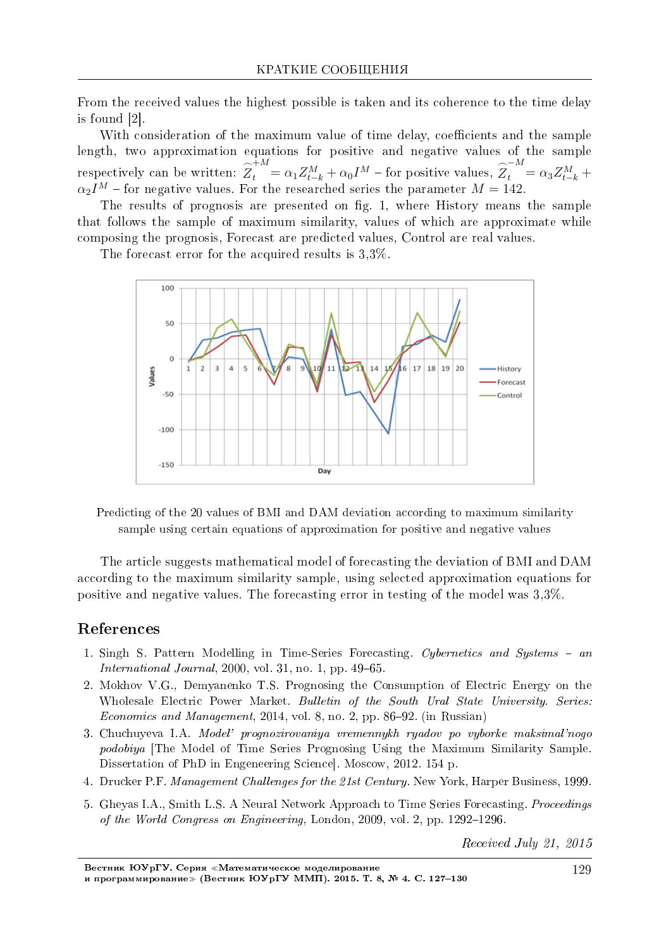From the received values the highest possible is taken and its coherence to the time delay is found [2]

With consideration of the maximum value of time delay, coefficients and the sample length, two approximation equations for positive and negative values of the sample respectively can be written:  $\overline{Z}_t^M = \alpha_1 Z_{t-k}^M + \alpha_0 I^M$  – for positive values,  $\overline{Z}_t^M = \alpha_3 Z_{t-k}^M +$  $\alpha_2 I^M$  – for negative values. For the researched series the parameter  $M = 142$ .

The results of prognosis are presented on fig. 1, where History means the sample that follows the sample of maximum similarity, values of which are approximate while composing the prognosis, Forecast are predicted values, Control are real values.

The forecast error for the acquired results is  $3.3\%$ .



Predicting of the 20 values of BMI and DAM deviation according to maximum similarity sample using certain equations of approximation for positive and negative values

The article suggests mathematical model of forecasting the deviation of BMI and DAM according to the maximum similarity sample, using selected approximation equations for positive and negative values. The forecasting error in testing of the model was 3.3%.

## References

- 1. Singh S. Pattern Modelling in Time-Series Forecasting. Cypernetics and Systems an *International Journal*, 2000, vol. 31, no. 1, pp.  $49-65$ .
- 2. Mokhov V.G., Demyanenko T.S. Prognosing the Consumption of Electric Energy on the Wholesale Electric Power Market. Bulletin of the South Ural State University. Series: Economics and Management, 2014, vol. 8, no. 2, pp. 86-92. (in Russian)
- 3. Chuchuyeva I.A. Model' prognozirovaniya vremennykh ryadov po vyborke maksimal'nogo *podobiva* [The Model of Time Series Prognosing Using the Maximum Similarity Sample. Dissertation of PhD in Engeneering Science, Moscow, 2012. 154 p.
- 4. Drucker P.F. Management Challenges for the 21st Century. New York, Harper Business, 1999.
- 5. Gheyas I.A., Smith L.S. A Neural Network Approach to Time Series Forecasting. *Proceedings* of the World Congress on Engineering, London, 2009, vol. 2, pp. 1292-1296.

Received July 21, 2015